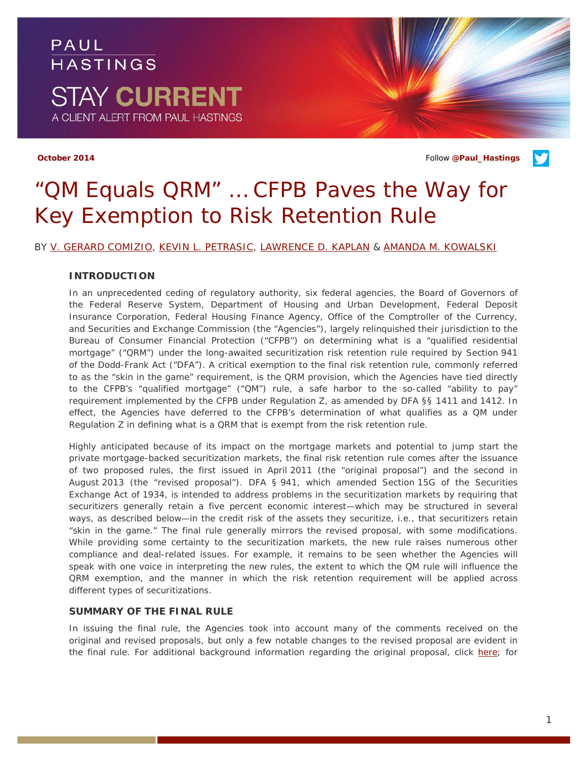## PAUL **HASTINGS STAY CURRENT** A CLIENT ALERT FROM PAUL HASTINGS

**October 2014** Follow **[@Paul\\_Hastings](http://twitter.com/Paul_Hastings)**

## *"QM Equals QRM" … CFPB Paves the Way for Key Exemption to Risk Retention Rule*

BY [V. GERARD COMIZIO,](http://paulhastings.com/Professionals/details/vgerardcomizio/) [KEVIN L. PETRASIC,](http://paulhastings.com/Professionals/details/kevinpetrasic/) [LAWRENCE D. KAPLAN](http://paulhastings.com/Professionals/details/lawrencekaplan/) & [AMANDA M. KOWALSKI](http://paulhastings.com/Professionals/details/amandakowalski/)

### **INTRODUCTION**

In an unprecedented ceding of regulatory authority, six federal agencies, the Board of Governors of the Federal Reserve System, Department of Housing and Urban Development, Federal Deposit Insurance Corporation, Federal Housing Finance Agency, Office of the Comptroller of the Currency, and Securities and Exchange Commission (the "Agencies"), largely relinquished their jurisdiction to the Bureau of Consumer Financial Protection ("CFPB") on determining what is a "qualified residential mortgage" ("QRM") under the long-awaited securitization risk retention rule required by Section 941 of the Dodd-Frank Act ("DFA"). A critical exemption to the final risk retention rule, commonly referred to as the "skin in the game" requirement, is the QRM provision, which the Agencies have tied directly to the CFPB's "qualified mortgage" ("QM") rule, a safe harbor to the so-called "ability to pay" requirement implemented by the CFPB under Regulation Z, as amended by DFA §§ 1411 and 1412. In effect, the Agencies have deferred to the CFPB's determination of what qualifies as a QM under Regulation Z in defining what is a QRM that is exempt from the risk retention rule.

Highly anticipated because of its impact on the mortgage markets and potential to jump start the private mortgage-backed securitization markets, the final risk retention rule comes after the issuance of two proposed rules, the first issued in April 2011 (the "original proposal") and the second in August 2013 (the "revised proposal"). DFA § 941, which amended Section 15G of the Securities Exchange Act of 1934, is intended to address problems in the securitization markets by requiring that securitizers generally retain a five percent economic interest—which may be structured in several ways, as described below—in the credit risk of the assets they securitize, *i.e.*, that securitizers retain "skin in the game." The final rule generally mirrors the revised proposal, with some modifications. While providing some certainty to the securitization markets, the new rule raises numerous other compliance and deal-related issues. For example, it remains to be seen whether the Agencies will speak with one voice in interpreting the new rules, the extent to which the QM rule will influence the QRM exemption, and the manner in which the risk retention requirement will be applied across different types of securitizations.

### **SUMMARY OF THE FINAL RULE**

In issuing the final rule, the Agencies took into account many of the comments received on the original and revised proposals, but only a few notable changes to the revised proposal are evident in the final rule. For additional background information regarding the original proposal, click [here;](http://paulhastings.com/docs/default-source/PDFs/1880.pdf) for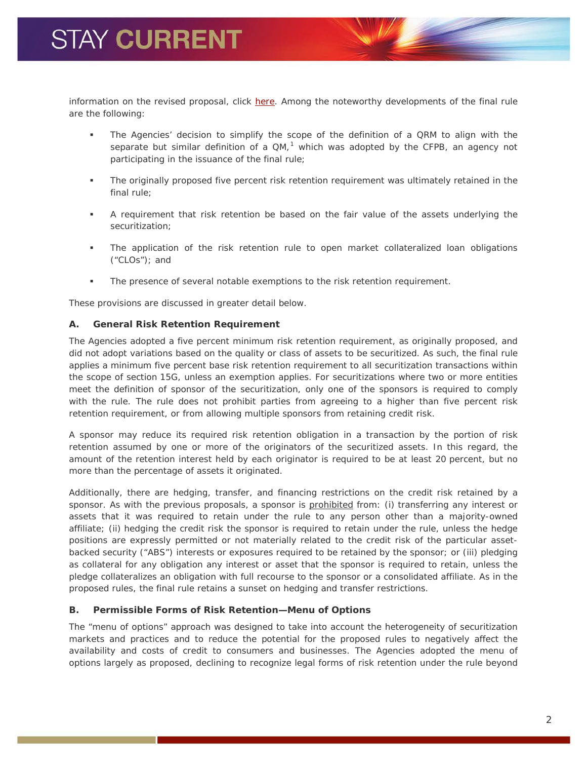information on the revised proposal, click [here.](http://paulhastings.com/docs/default-source/PDFs/re-proposed-qrm-rule.pdf) Among the noteworthy developments of the final rule are the following:

- The Agencies' decision to simplify the scope of the definition of a QRM to align with the separate but similar definition of a  $QM$ ,<sup>[1](#page-7-0)</sup> which was adopted by the CFPB, an agency not participating in the issuance of the final rule;
- The originally proposed five percent risk retention requirement was ultimately retained in the final rule;
- A requirement that risk retention be based on the fair value of the assets underlying the securitization;
- The application of the risk retention rule to open market collateralized loan obligations ("CLOs"); and
- The presence of several notable exemptions to the risk retention requirement.

These provisions are discussed in greater detail below.

#### *A. General Risk Retention Requirement*

The Agencies adopted a five percent minimum risk retention requirement, as originally proposed, and did not adopt variations based on the quality or class of assets to be securitized. As such, the final rule applies a minimum five percent base risk retention requirement to all securitization transactions within the scope of section 15G, unless an exemption applies. For securitizations where two or more entities meet the definition of sponsor of the securitization, only one of the sponsors is required to comply with the rule. The rule does not prohibit parties from agreeing to a higher than five percent risk retention requirement, or from allowing multiple sponsors from retaining credit risk.

A sponsor may reduce its required risk retention obligation in a transaction by the portion of risk retention assumed by one or more of the originators of the securitized assets. In this regard, the amount of the retention interest held by each originator is required to be at least 20 percent, but no more than the percentage of assets it originated.

Additionally, there are hedging, transfer, and financing restrictions on the credit risk retained by a sponsor. As with the previous proposals, a sponsor is prohibited from: (i) transferring any interest or assets that it was required to retain under the rule to any person other than a majority-owned affiliate; (ii) hedging the credit risk the sponsor is required to retain under the rule, unless the hedge positions are expressly permitted or not materially related to the credit risk of the particular assetbacked security ("ABS") interests or exposures required to be retained by the sponsor; or (iii) pledging as collateral for any obligation any interest or asset that the sponsor is required to retain, unless the pledge collateralizes an obligation with full recourse to the sponsor or a consolidated affiliate. As in the proposed rules, the final rule retains a sunset on hedging and transfer restrictions.

### *B. Permissible Forms of Risk Retention—Menu of Options*

The "menu of options" approach was designed to take into account the heterogeneity of securitization markets and practices and to reduce the potential for the proposed rules to negatively affect the availability and costs of credit to consumers and businesses. The Agencies adopted the menu of options largely as proposed, declining to recognize legal forms of risk retention under the rule beyond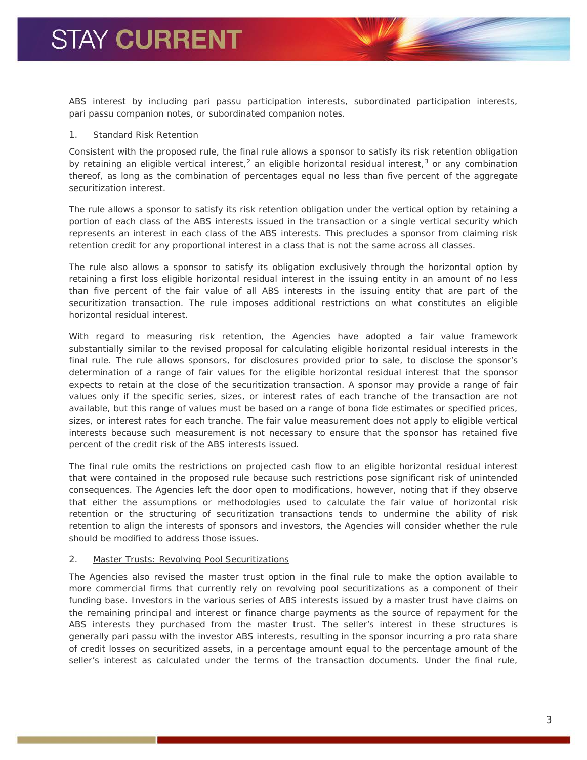ABS interest by including *pari passu* participation interests, subordinated participation interests, *pari passu* companion notes, or subordinated companion notes.

#### *1. Standard Risk Retention*

Consistent with the proposed rule, the final rule allows a sponsor to satisfy its risk retention obligation by retaining an eligible vertical interest,<sup>[2](#page-7-1)</sup> an eligible horizontal residual interest,<sup>[3](#page-7-2)</sup> or any combination thereof, as long as the combination of percentages equal no less than five percent of the aggregate securitization interest.

The rule allows a sponsor to satisfy its risk retention obligation under the vertical option by retaining a portion of each class of the ABS interests issued in the transaction or a single vertical security which represents an interest in each class of the ABS interests. This precludes a sponsor from claiming risk retention credit for any proportional interest in a class that is not the same across all classes.

The rule also allows a sponsor to satisfy its obligation exclusively through the horizontal option by retaining a first loss eligible horizontal residual interest in the issuing entity in an amount of no less than five percent of the fair value of all ABS interests in the issuing entity that are part of the securitization transaction. The rule imposes additional restrictions on what constitutes an eligible horizontal residual interest.

With regard to measuring risk retention, the Agencies have adopted a fair value framework substantially similar to the revised proposal for calculating eligible horizontal residual interests in the final rule. The rule allows sponsors, for disclosures provided prior to sale, to disclose the sponsor's determination of a range of fair values for the eligible horizontal residual interest that the sponsor expects to retain at the close of the securitization transaction. A sponsor may provide a range of fair values only if the specific series, sizes, or interest rates of each tranche of the transaction are not available, but this range of values must be based on a range of bona fide estimates or specified prices, sizes, or interest rates for each tranche. The fair value measurement does not apply to eligible vertical interests because such measurement is not necessary to ensure that the sponsor has retained five percent of the credit risk of the ABS interests issued.

The final rule omits the restrictions on projected cash flow to an eligible horizontal residual interest that were contained in the proposed rule because such restrictions pose significant risk of unintended consequences. The Agencies left the door open to modifications, however, noting that if they observe that either the assumptions or methodologies used to calculate the fair value of horizontal risk retention or the structuring of securitization transactions tends to undermine the ability of risk retention to align the interests of sponsors and investors, the Agencies will consider whether the rule should be modified to address those issues.

#### *2. Master Trusts: Revolving Pool Securitizations*

The Agencies also revised the master trust option in the final rule to make the option available to more commercial firms that currently rely on revolving pool securitizations as a component of their funding base. Investors in the various series of ABS interests issued by a master trust have claims on the remaining principal and interest or finance charge payments as the source of repayment for the ABS interests they purchased from the master trust. The seller's interest in these structures is generally *pari passu* with the investor ABS interests, resulting in the sponsor incurring a pro rata share of credit losses on securitized assets, in a percentage amount equal to the percentage amount of the seller's interest as calculated under the terms of the transaction documents. Under the final rule,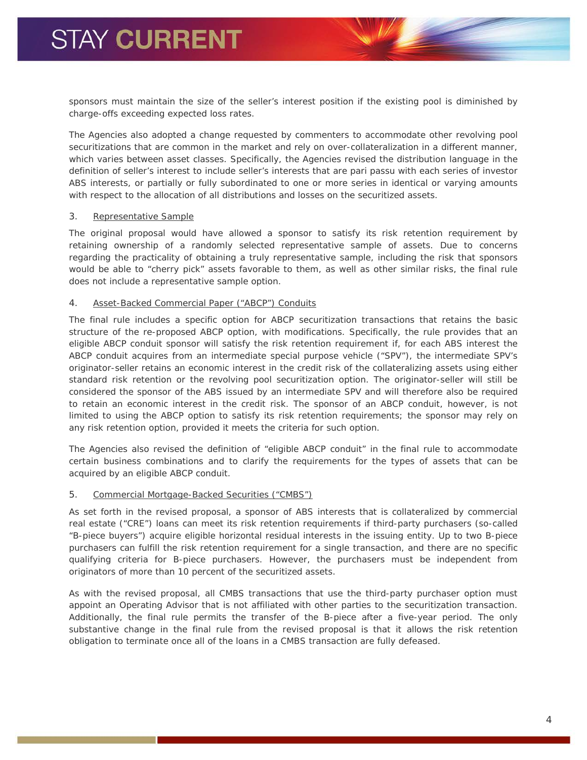sponsors must maintain the size of the seller's interest position if the existing pool is diminished by charge-offs exceeding expected loss rates.

The Agencies also adopted a change requested by commenters to accommodate other revolving pool securitizations that are common in the market and rely on over-collateralization in a different manner, which varies between asset classes. Specifically, the Agencies revised the distribution language in the definition of seller's interest to include seller's interests that are *pari passu* with each series of investor ABS interests, or partially or fully subordinated to one or more series in identical or varying amounts with respect to the allocation of all distributions and losses on the securitized assets.

#### *3. Representative Sample*

The original proposal would have allowed a sponsor to satisfy its risk retention requirement by retaining ownership of a randomly selected representative sample of assets. Due to concerns regarding the practicality of obtaining a truly representative sample, including the risk that sponsors would be able to "cherry pick" assets favorable to them, as well as other similar risks, the final rule does not include a representative sample option.

#### *4. Asset-Backed Commercial Paper ("ABCP") Conduits*

The final rule includes a specific option for ABCP securitization transactions that retains the basic structure of the re-proposed ABCP option, with modifications. Specifically, the rule provides that an eligible ABCP conduit sponsor will satisfy the risk retention requirement if, for each ABS interest the ABCP conduit acquires from an intermediate special purpose vehicle ("SPV"), the intermediate SPV's originator-seller retains an economic interest in the credit risk of the collateralizing assets using either standard risk retention or the revolving pool securitization option. The originator-seller will still be considered the sponsor of the ABS issued by an intermediate SPV and will therefore also be required to retain an economic interest in the credit risk. The sponsor of an ABCP conduit, however, is not limited to using the ABCP option to satisfy its risk retention requirements; the sponsor may rely on any risk retention option, provided it meets the criteria for such option.

The Agencies also revised the definition of "eligible ABCP conduit" in the final rule to accommodate certain business combinations and to clarify the requirements for the types of assets that can be acquired by an eligible ABCP conduit.

#### *5. Commercial Mortgage-Backed Securities ("CMBS")*

As set forth in the revised proposal, a sponsor of ABS interests that is collateralized by commercial real estate ("CRE") loans can meet its risk retention requirements if third-party purchasers (so-called "B-piece buyers") acquire eligible horizontal residual interests in the issuing entity. Up to two B-piece purchasers can fulfill the risk retention requirement for a single transaction, and there are no specific qualifying criteria for B-piece purchasers. However, the purchasers must be independent from originators of more than 10 percent of the securitized assets.

As with the revised proposal, all CMBS transactions that use the third-party purchaser option must appoint an Operating Advisor that is not affiliated with other parties to the securitization transaction. Additionally, the final rule permits the transfer of the B-piece after a five-year period. The only substantive change in the final rule from the revised proposal is that it allows the risk retention obligation to terminate once all of the loans in a CMBS transaction are fully defeased.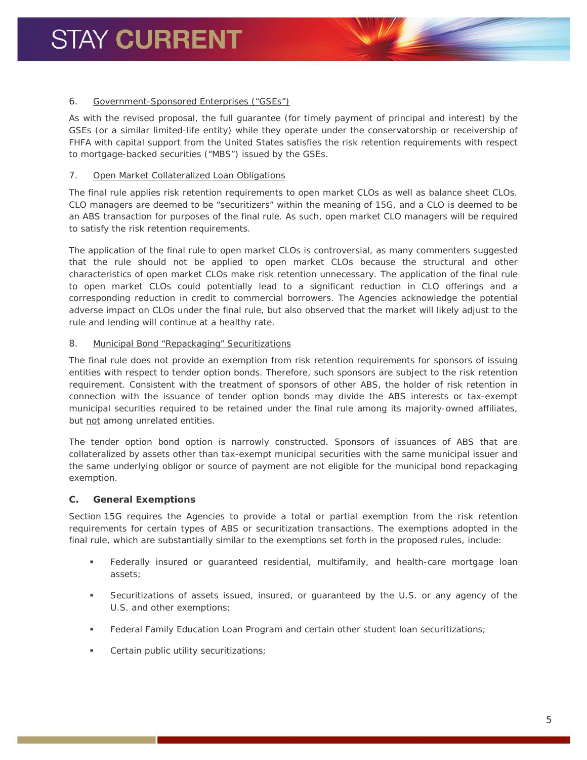#### *6. Government-Sponsored Enterprises ("GSEs")*

As with the revised proposal, the full guarantee (for timely payment of principal and interest) by the GSEs (or a similar limited-life entity) while they operate under the conservatorship or receivership of FHFA with capital support from the United States satisfies the risk retention requirements with respect to mortgage-backed securities ("MBS") issued by the GSEs.

#### *7. Open Market Collateralized Loan Obligations*

The final rule applies risk retention requirements to open market CLOs as well as balance sheet CLOs. CLO managers are deemed to be "securitizers" within the meaning of 15G, and a CLO is deemed to be an ABS transaction for purposes of the final rule. As such, open market CLO managers will be required to satisfy the risk retention requirements.

The application of the final rule to open market CLOs is controversial, as many commenters suggested that the rule should not be applied to open market CLOs because the structural and other characteristics of open market CLOs make risk retention unnecessary. The application of the final rule to open market CLOs could potentially lead to a significant reduction in CLO offerings and a corresponding reduction in credit to commercial borrowers. The Agencies acknowledge the potential adverse impact on CLOs under the final rule, but also observed that the market will likely adjust to the rule and lending will continue at a healthy rate.

#### *8. Municipal Bond "Repackaging" Securitizations*

The final rule does not provide an exemption from risk retention requirements for sponsors of issuing entities with respect to tender option bonds. Therefore, such sponsors are subject to the risk retention requirement. Consistent with the treatment of sponsors of other ABS, the holder of risk retention in connection with the issuance of tender option bonds may divide the ABS interests or tax-exempt municipal securities required to be retained under the final rule among its majority-owned affiliates, but not among unrelated entities.

The tender option bond option is narrowly constructed. Sponsors of issuances of ABS that are collateralized by assets other than tax-exempt municipal securities with the same municipal issuer and the same underlying obligor or source of payment are not eligible for the municipal bond repackaging exemption.

### *C. General Exemptions*

Section 15G requires the Agencies to provide a total or partial exemption from the risk retention requirements for certain types of ABS or securitization transactions. The exemptions adopted in the final rule, which are substantially similar to the exemptions set forth in the proposed rules, include:

- Federally insured or guaranteed residential, multifamily, and health-care mortgage loan assets;
- Securitizations of assets issued, insured, or guaranteed by the U.S. or any agency of the U.S. and other exemptions;
- Federal Family Education Loan Program and certain other student loan securitizations;
- Certain public utility securitizations;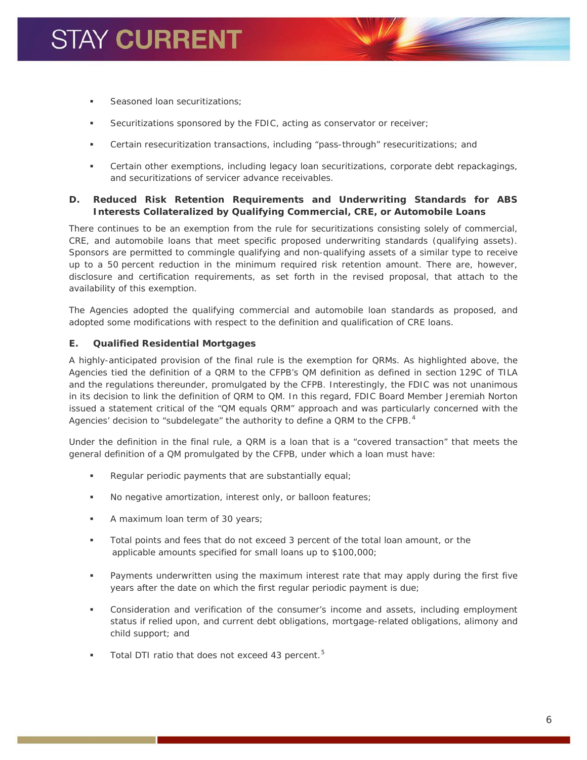- Seasoned loan securitizations;
- Securitizations sponsored by the FDIC, acting as conservator or receiver;
- Certain resecuritization transactions, including "pass-through" resecuritizations; and
- Certain other exemptions, including legacy loan securitizations, corporate debt repackagings, and securitizations of servicer advance receivables.

### *D. Reduced Risk Retention Requirements and Underwriting Standards for ABS Interests Collateralized by Qualifying Commercial, CRE, or Automobile Loans*

There continues to be an exemption from the rule for securitizations consisting solely of commercial, CRE, and automobile loans that meet specific proposed underwriting standards (qualifying assets). Sponsors are permitted to commingle qualifying and non-qualifying assets of a similar type to receive up to a 50 percent reduction in the minimum required risk retention amount. There are, however, disclosure and certification requirements, as set forth in the revised proposal, that attach to the availability of this exemption.

The Agencies adopted the qualifying commercial and automobile loan standards as proposed, and adopted some modifications with respect to the definition and qualification of CRE loans.

### *E. Qualified Residential Mortgages*

A highly-anticipated provision of the final rule is the exemption for QRMs. As highlighted above, the Agencies tied the definition of a QRM to the CFPB's QM definition as defined in section 129C of TILA and the regulations thereunder, promulgated by the CFPB. Interestingly, the FDIC was not unanimous in its decision to link the definition of QRM to QM. In this regard, FDIC Board Member Jeremiah Norton issued a statement critical of the "QM equals QRM" approach and was particularly concerned with the Agencies' decision to "subdelegate" the authority to define a QRM to the CFPB.<sup>[4](#page-7-3)</sup>

Under the definition in the final rule, a QRM is a loan that is a "covered transaction" that meets the general definition of a QM promulgated by the CFPB, under which a loan must have:

- Regular periodic payments that are substantially equal;
- No negative amortization, interest only, or balloon features;
- A maximum loan term of 30 years;
- Total points and fees that do not exceed 3 percent of the total loan amount, or the applicable amounts specified for small loans up to \$100,000;
- Payments underwritten using the maximum interest rate that may apply during the first five years after the date on which the first regular periodic payment is due;
- Consideration and verification of the consumer's income and assets, including employment status if relied upon, and current debt obligations, mortgage-related obligations, alimony and child support; and
- Total DTI ratio that does not exceed 43 percent.<sup>[5](#page-7-4)</sup>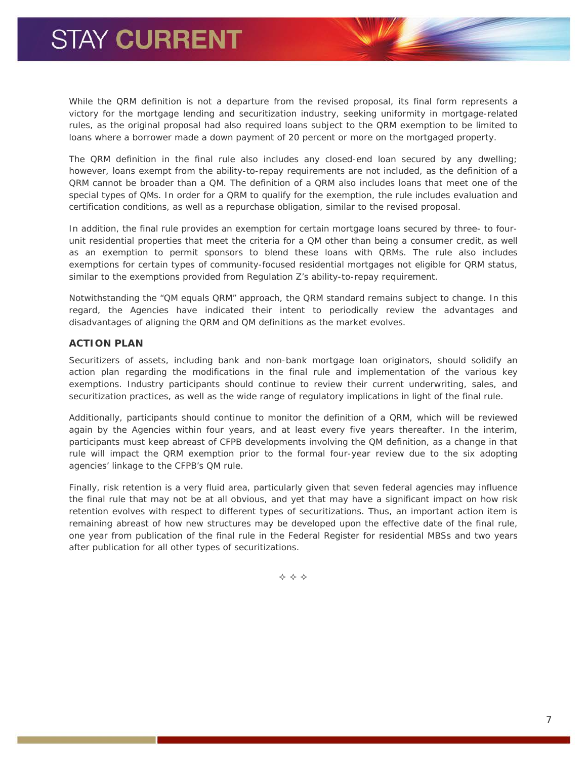While the QRM definition is not a departure from the revised proposal, its final form represents a victory for the mortgage lending and securitization industry, seeking uniformity in mortgage-related rules, as the original proposal had also required loans subject to the QRM exemption to be limited to loans where a borrower made a down payment of 20 percent or more on the mortgaged property.

The QRM definition in the final rule also includes any closed-end loan secured by any dwelling; however, loans exempt from the ability-to-repay requirements are not included, as the definition of a QRM cannot be broader than a QM. The definition of a QRM also includes loans that meet one of the special types of QMs. In order for a QRM to qualify for the exemption, the rule includes evaluation and certification conditions, as well as a repurchase obligation, similar to the revised proposal.

In addition, the final rule provides an exemption for certain mortgage loans secured by three- to fourunit residential properties that meet the criteria for a QM other than being a consumer credit, as well as an exemption to permit sponsors to blend these loans with QRMs. The rule also includes exemptions for certain types of community-focused residential mortgages not eligible for QRM status, similar to the exemptions provided from Regulation Z's ability-to-repay requirement.

Notwithstanding the "QM equals QRM" approach, the QRM standard remains subject to change. In this regard, the Agencies have indicated their intent to periodically review the advantages and disadvantages of aligning the QRM and QM definitions as the market evolves.

### **ACTION PLAN**

Securitizers of assets, including bank and non-bank mortgage loan originators, should solidify an action plan regarding the modifications in the final rule and implementation of the various key exemptions. Industry participants should continue to review their current underwriting, sales, and securitization practices, as well as the wide range of regulatory implications in light of the final rule.

Additionally, participants should continue to monitor the definition of a QRM, which will be reviewed again by the Agencies within four years, and at least every five years thereafter. In the interim, participants must keep abreast of CFPB developments involving the QM definition, as a change in that rule will impact the QRM exemption prior to the formal four-year review due to the six adopting agencies' linkage to the CFPB's QM rule.

Finally, risk retention is a very fluid area, particularly given that seven federal agencies may influence the final rule that may not be at all obvious, and yet that may have a significant impact on how risk retention evolves with respect to different types of securitizations. Thus, an important action item is remaining abreast of how new structures may be developed upon the effective date of the final rule, one year from publication of the final rule in the Federal Register for residential MBSs and two years after publication for all other types of securitizations.

 $\Leftrightarrow$   $\Leftrightarrow$   $\Leftrightarrow$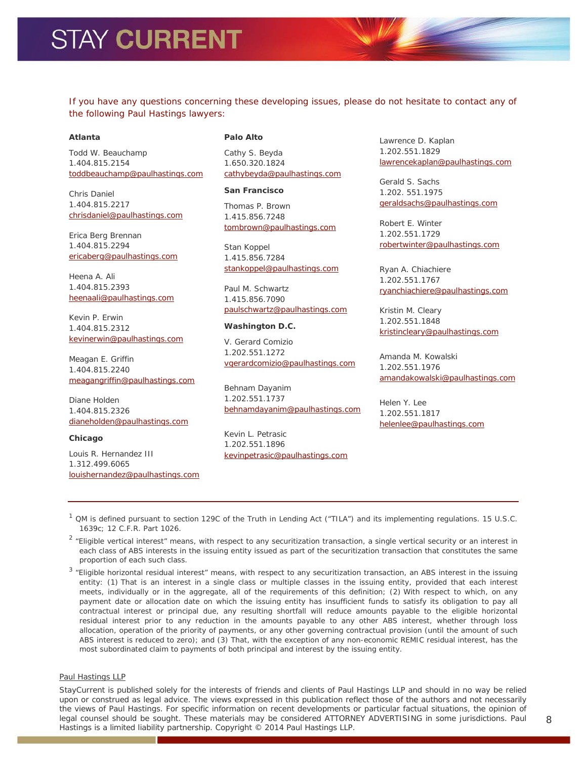<span id="page-7-3"></span>If you have any questions concerning these developing issues, please do not hesitate to contact any of *the following Paul Hastings lawyers:*

#### <span id="page-7-4"></span>**Atlanta**

Todd W. Beauchamp 1.404.815.2154 [toddbeauchamp@paulhastings.com](mailto:toddbeauchamp@paulhastings.com)

Chris Daniel 1.404.815.2217 [chrisdaniel@paulhastings.com](mailto:chrisdaniel@paulhastings.com)

Erica Berg Brennan 1.404.815.2294 [ericaberg@paulhastings.com](mailto:ericaberg@paulhastings.com)

Heena A. Ali 1.404.815.2393 [heenaali@paulhastings.com](mailto:heenaali@paulhastings.com)

Kevin P. Erwin 1.404.815.2312 [kevinerwin@paulhastings.com](mailto:kevinerwin@paulhastings.com)

Meagan E. Griffin 1.404.815.2240 [meagangriffin@paulhastings.com](mailto:meagangriffin@paulhastings.com)

Diane Holden 1.404.815.2326 [dianeholden@paulhastings.com](mailto:dianeholden@paulhastings.com)

**Chicago**

Louis R. Hernandez III 1.312.499.6065 [louishernandez@paulhastings.com](mailto:louishernandez@paulhastings.com)

#### **Palo Alto**

Cathy S. Beyda 1.650.320.1824 [cathybeyda@paulhastings.com](mailto:cathybeyda@paulhastings.com)

#### **San Francisco**

Thomas P. Brown 1.415.856.7248 [tombrown@paulhastings.com](mailto:tombrown@paulhastings.com)

Stan Koppel 1.415.856.7284 [stankoppel@paulhastings.com](mailto:stankoppel@paulhastings.com)

Paul M. Schwartz 1.415.856.7090 [paulschwartz@paulhastings.com](mailto:paulschwartz@paulhastings.com)

#### **Washington D.C.**

V. Gerard Comizio 1.202.551.1272 [vgerardcomizio@paulhastings.com](mailto:vgerardcomizio@paulhastings.com)

Behnam Dayanim 1.202.551.1737 [behnamdayanim@paulhastings.com](mailto:behnamdayanim@paulhastings.com)

Kevin L. Petrasic 1.202.551.1896 [kevinpetrasic@paulhastings.com](mailto:kevinpetrasic@paulhastings.com) Lawrence D. Kaplan 1.202.551.1829 [lawrencekaplan@paulhastings.com](mailto:lawrencekaplan@paulhastings.com)

Gerald S. Sachs 1.202. 551.1975 [geraldsachs@paulhastings.com](mailto:geraldsachs@paulhastings.com)

Robert E. Winter 1.202.551.1729 [robertwinter@paulhastings.com](mailto:robertwinter@paulhastings.com)

Ryan A. Chiachiere 1.202.551.1767 [ryanchiachiere@paulhastings.com](mailto:ryanchiachiere@paulhastings.com)

Kristin M. Cleary 1.202.551.1848 [kristincleary@paulhastings.com](mailto:kristincleary@paulhastings.com)

Amanda M. Kowalski 1.202.551.1976 [amandakowalski@paulhastings.com](mailto:amandakowalski@paulhastings.com)

Helen Y. Lee 1.202.551.1817 [helenlee@paulhastings.com](mailto:helenlee@paulhastings.com)

<span id="page-7-0"></span> $1$  QM is defined pursuant to section 129C of the Truth in Lending Act ("TILA") and its implementing regulations. 15 U.S.C. 1639c; 12 C.F.R. Part 1026.

<span id="page-7-1"></span> $2$  "Eligible vertical interest" means, with respect to any securitization transaction, a single vertical security or an interest in each class of ABS interests in the issuing entity issued as part of the securitization transaction that constitutes the same proportion of each such class.

<span id="page-7-2"></span> $3$  "Eligible horizontal residual interest" means, with respect to any securitization transaction, an ABS interest in the issuing entity: (1) That is an interest in a single class or multiple classes in the issuing entity, provided that each interest meets, individually or in the aggregate, all of the requirements of this definition; (2) With respect to which, on any payment date or allocation date on which the issuing entity has insufficient funds to satisfy its obligation to pay all contractual interest or principal due, any resulting shortfall will reduce amounts payable to the eligible horizontal residual interest prior to any reduction in the amounts payable to any other ABS interest, whether through loss allocation, operation of the priority of payments, or any other governing contractual provision (until the amount of such ABS interest is reduced to zero); and (3) That, with the exception of any non-economic REMIC residual interest, has the most subordinated claim to payments of both principal and interest by the issuing entity.

#### Paul Hastings LLP

Stay*Current* is published solely for the interests of friends and clients of Paul Hastings LLP and should in no way be relied upon or construed as legal advice. The views expressed in this publication reflect those of the authors and not necessarily the views of Paul Hastings. For specific information on recent developments or particular factual situations, the opinion of legal counsel should be sought. These materials may be considered ATTORNEY ADVERTISING in some jurisdictions. Paul Hastings is a limited liability partnership. Copyright © 2014 Paul Hastings LLP.